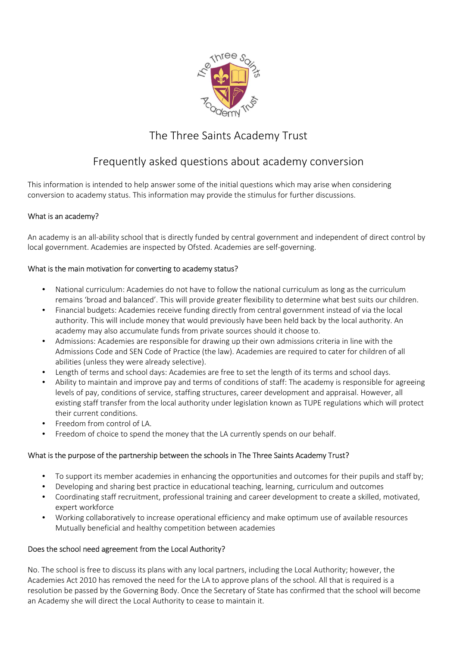

# The Three Saints Academy Trust

# Frequently asked questions about academy conversion

This information is intended to help answer some of the initial questions which may arise when considering conversion to academy status. This information may provide the stimulus for further discussions.

# What is an academy?

An academy is an all-ability school that is directly funded by central government and independent of direct control by local government. Academies are inspected by Ofsted. Academies are self-governing.

# What is the main motivation for converting to academy status?

- National curriculum: Academies do not have to follow the national curriculum as long as the curriculum remains 'broad and balanced'. This will provide greater flexibility to determine what best suits our children.
- Financial budgets: Academies receive funding directly from central government instead of via the local authority. This will include money that would previously have been held back by the local authority. An academy may also accumulate funds from private sources should it choose to.
- Admissions: Academies are responsible for drawing up their own admissions criteria in line with the Admissions Code and SEN Code of Practice (the law). Academies are required to cater for children of all abilities (unless they were already selective).
- Length of terms and school days: Academies are free to set the length of its terms and school days.
- Ability to maintain and improve pay and terms of conditions of staff: The academy is responsible for agreeing levels of pay, conditions of service, staffing structures, career development and appraisal. However, all existing staff transfer from the local authority under legislation known as TUPE regulations which will protect their current conditions.
- Freedom from control of LA.
- Freedom of choice to spend the money that the LA currently spends on our behalf.

# What is the purpose of the partnership between the schools in The Three Saints Academy Trust?

- To support its member academies in enhancing the opportunities and outcomes for their pupils and staff by;
- Developing and sharing best practice in educational teaching, learning, curriculum and outcomes
- Coordinating staff recruitment, professional training and career development to create a skilled, motivated, expert workforce
- Working collaboratively to increase operational efficiency and make optimum use of available resources Mutually beneficial and healthy competition between academies

# Does the school need agreement from the Local Authority?

No. The school is free to discuss its plans with any local partners, including the Local Authority; however, the Academies Act 2010 has removed the need for the LA to approve plans of the school. All that is required is a resolution be passed by the Governing Body. Once the Secretary of State has confirmed that the school will become an Academy she will direct the Local Authority to cease to maintain it.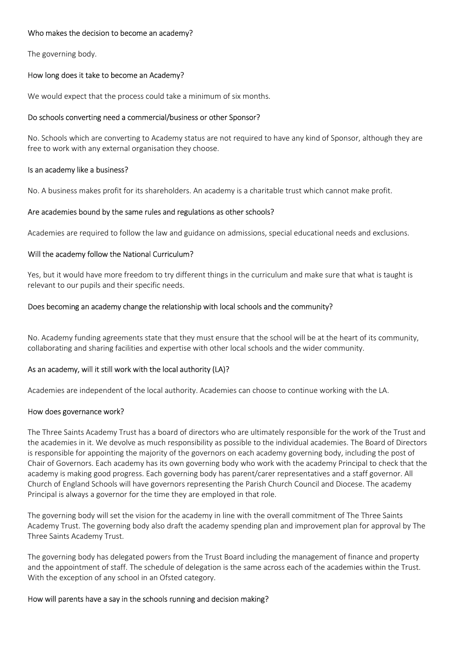## Who makes the decision to become an academy?

The governing body.

## How long does it take to become an Academy?

We would expect that the process could take a minimum of six months.

### Do schools converting need a commercial/business or other Sponsor?

No. Schools which are converting to Academy status are not required to have any kind of Sponsor, although they are free to work with any external organisation they choose.

#### Is an academy like a business?

No. A business makes profit for its shareholders. An academy is a charitable trust which cannot make profit.

## Are academies bound by the same rules and regulations as other schools?

Academies are required to follow the law and guidance on admissions, special educational needs and exclusions.

## Will the academy follow the National Curriculum?

Yes, but it would have more freedom to try different things in the curriculum and make sure that what is taught is relevant to our pupils and their specific needs.

## Does becoming an academy change the relationship with local schools and the community?

No. Academy funding agreements state that they must ensure that the school will be at the heart of its community, collaborating and sharing facilities and expertise with other local schools and the wider community.

#### As an academy, will it still work with the local authority (LA)?

Academies are independent of the local authority. Academies can choose to continue working with the LA.

#### How does governance work?

The Three Saints Academy Trust has a board of directors who are ultimately responsible for the work of the Trust and the academies in it. We devolve as much responsibility as possible to the individual academies. The Board of Directors is responsible for appointing the majority of the governors on each academy governing body, including the post of Chair of Governors. Each academy has its own governing body who work with the academy Principal to check that the academy is making good progress. Each governing body has parent/carer representatives and a staff governor. All Church of England Schools will have governors representing the Parish Church Council and Diocese. The academy Principal is always a governor for the time they are employed in that role.

The governing body will set the vision for the academy in line with the overall commitment of The Three Saints Academy Trust. The governing body also draft the academy spending plan and improvement plan for approval by The Three Saints Academy Trust.

The governing body has delegated powers from the Trust Board including the management of finance and property and the appointment of staff. The schedule of delegation is the same across each of the academies within the Trust. With the exception of any school in an Ofsted category.

#### How will parents have a say in the schools running and decision making?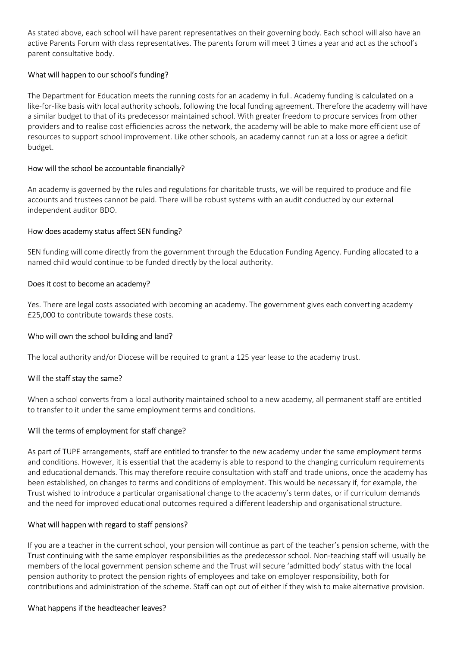As stated above, each school will have parent representatives on their governing body. Each school will also have an active Parents Forum with class representatives. The parents forum will meet 3 times a year and act as the school's parent consultative body.

# What will happen to our school's funding?

The Department for Education meets the running costs for an academy in full. Academy funding is calculated on a like-for-like basis with local authority schools, following the local funding agreement. Therefore the academy will have a similar budget to that of its predecessor maintained school. With greater freedom to procure services from other providers and to realise cost efficiencies across the network, the academy will be able to make more efficient use of resources to support school improvement. Like other schools, an academy cannot run at a loss or agree a deficit budget.

# How will the school be accountable financially?

An academy is governed by the rules and regulations for charitable trusts, we will be required to produce and file accounts and trustees cannot be paid. There will be robust systems with an audit conducted by our external independent auditor BDO.

# How does academy status affect SEN funding?

SEN funding will come directly from the government through the Education Funding Agency. Funding allocated to a named child would continue to be funded directly by the local authority.

# Does it cost to become an academy?

Yes. There are legal costs associated with becoming an academy. The government gives each converting academy £25,000 to contribute towards these costs.

# Who will own the school building and land?

The local authority and/or Diocese will be required to grant a 125 year lease to the academy trust.

# Will the staff stay the same?

When a school converts from a local authority maintained school to a new academy, all permanent staff are entitled to transfer to it under the same employment terms and conditions.

# Will the terms of employment for staff change?

As part of TUPE arrangements, staff are entitled to transfer to the new academy under the same employment terms and conditions. However, it is essential that the academy is able to respond to the changing curriculum requirements and educational demands. This may therefore require consultation with staff and trade unions, once the academy has been established, on changes to terms and conditions of employment. This would be necessary if, for example, the Trust wished to introduce a particular organisational change to the academy's term dates, or if curriculum demands and the need for improved educational outcomes required a different leadership and organisational structure.

# What will happen with regard to staff pensions?

If you are a teacher in the current school, your pension will continue as part of the teacher's pension scheme, with the Trust continuing with the same employer responsibilities as the predecessor school. Non-teaching staff will usually be members of the local government pension scheme and the Trust will secure 'admitted body' status with the local pension authority to protect the pension rights of employees and take on employer responsibility, both for contributions and administration of the scheme. Staff can opt out of either if they wish to make alternative provision.

# What happens if the headteacher leaves?